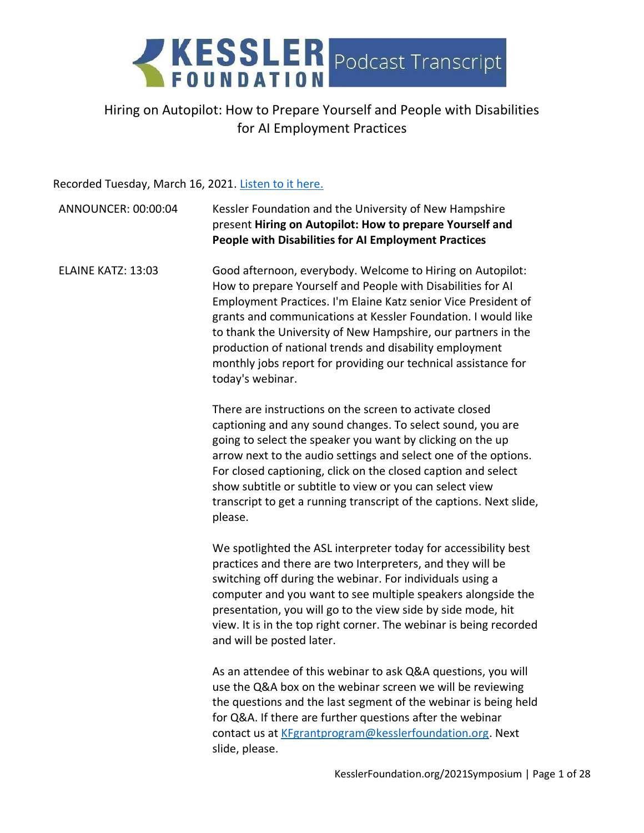

Hiring on Autopilot: How to Prepare Yourself and People with Disabilities for AI Employment Practices

#### Recorded Tuesday, March 16, 2021. [Listen to it here.](https://soundcloud.com/kesslerfoundation/how-to-prepare-yourself-and-people-with-disabilities-for-ai-employment-practices)

| ANNOUNCER: 00:00:04 | Kessler Foundation and the University of New Hampshire<br>present Hiring on Autopilot: How to prepare Yourself and<br>People with Disabilities for AI Employment Practices                                                                                                                                                                                                                                                                                                     |
|---------------------|--------------------------------------------------------------------------------------------------------------------------------------------------------------------------------------------------------------------------------------------------------------------------------------------------------------------------------------------------------------------------------------------------------------------------------------------------------------------------------|
| ELAINE KATZ: 13:03  | Good afternoon, everybody. Welcome to Hiring on Autopilot:<br>How to prepare Yourself and People with Disabilities for AI<br>Employment Practices. I'm Elaine Katz senior Vice President of<br>grants and communications at Kessler Foundation. I would like<br>to thank the University of New Hampshire, our partners in the<br>production of national trends and disability employment<br>monthly jobs report for providing our technical assistance for<br>today's webinar. |
|                     | There are instructions on the screen to activate closed<br>captioning and any sound changes. To select sound, you are<br>going to select the speaker you want by clicking on the up<br>arrow next to the audio settings and select one of the options.<br>For closed captioning, click on the closed caption and select<br>show subtitle or subtitle to view or you can select view<br>transcript to get a running transcript of the captions. Next slide,<br>please.          |
|                     | We spotlighted the ASL interpreter today for accessibility best<br>practices and there are two Interpreters, and they will be<br>switching off during the webinar. For individuals using a<br>computer and you want to see multiple speakers alongside the<br>presentation, you will go to the view side by side mode, hit<br>view. It is in the top right corner. The webinar is being recorded<br>and will be posted later.                                                  |
|                     | As an attendee of this webinar to ask Q&A questions, you will<br>use the Q&A box on the webinar screen we will be reviewing<br>the questions and the last segment of the webinar is being held<br>for Q&A. If there are further questions after the webinar<br>contact us at KFgrantprogram@kesslerfoundation.org. Next<br>slide, please.                                                                                                                                      |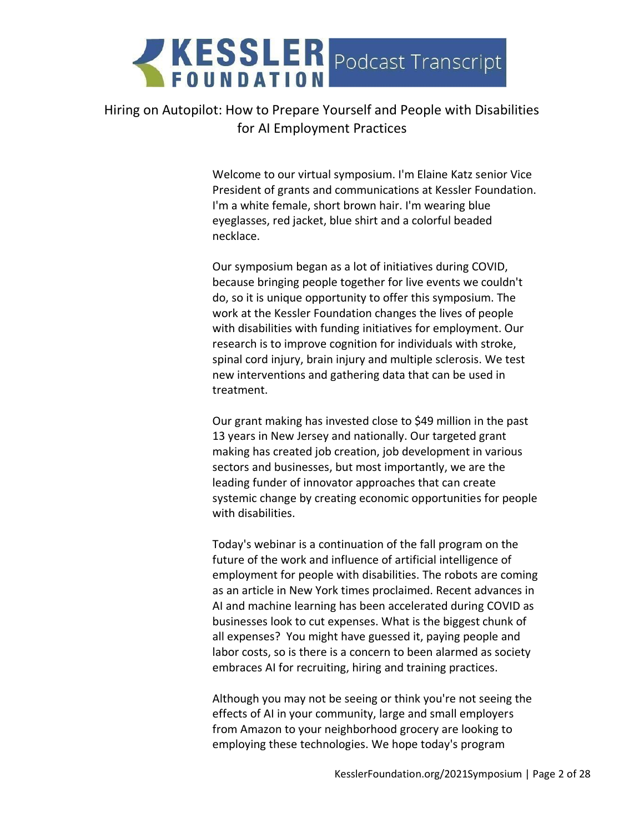### Hiring on Autopilot: How to Prepare Yourself and People with Disabilities for AI Employment Practices

Welcome to our virtual symposium. I'm Elaine Katz senior Vice President of grants and communications at Kessler Foundation. I'm a white female, short brown hair. I'm wearing blue eyeglasses, red jacket, blue shirt and a colorful beaded necklace.

Our symposium began as a lot of initiatives during COVID, because bringing people together for live events we couldn't do, so it is unique opportunity to offer this symposium. The work at the Kessler Foundation changes the lives of people with disabilities with funding initiatives for employment. Our research is to improve cognition for individuals with stroke, spinal cord injury, brain injury and multiple sclerosis. We test new interventions and gathering data that can be used in treatment.

Our grant making has invested close to \$49 million in the past 13 years in New Jersey and nationally. Our targeted grant making has created job creation, job development in various sectors and businesses, but most importantly, we are the leading funder of innovator approaches that can create systemic change by creating economic opportunities for people with disabilities.

Today's webinar is a continuation of the fall program on the future of the work and influence of artificial intelligence of employment for people with disabilities. The robots are coming as an article in New York times proclaimed. Recent advances in AI and machine learning has been accelerated during COVID as businesses look to cut expenses. What is the biggest chunk of all expenses? You might have guessed it, paying people and labor costs, so is there is a concern to been alarmed as society embraces AI for recruiting, hiring and training practices.

Although you may not be seeing or think you're not seeing the effects of AI in your community, large and small employers from Amazon to your neighborhood grocery are looking to employing these technologies. We hope today's program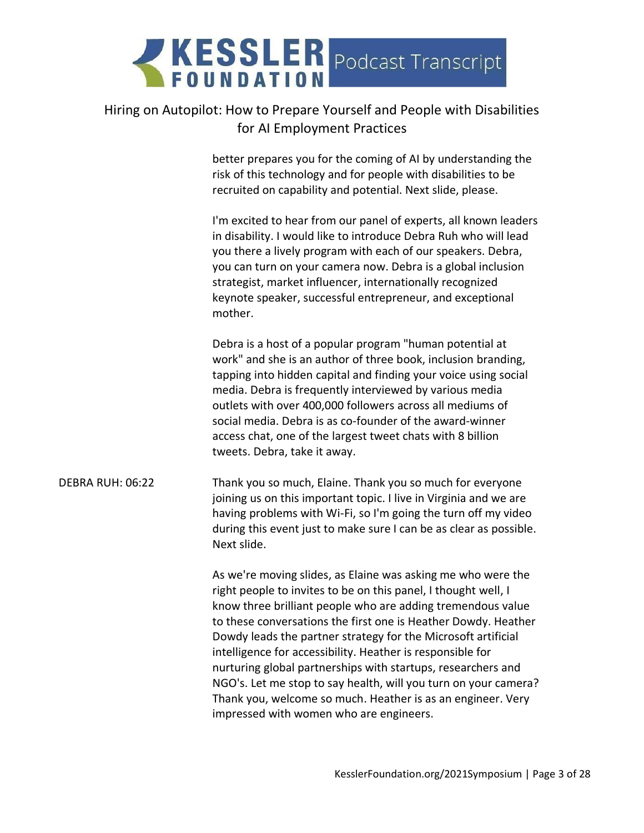### Hiring on Autopilot: How to Prepare Yourself and People with Disabilities for AI Employment Practices

better prepares you for the coming of AI by understanding the risk of this technology and for people with disabilities to be recruited on capability and potential. Next slide, please.

I'm excited to hear from our panel of experts, all known leaders in disability. I would like to introduce Debra Ruh who will lead you there a lively program with each of our speakers. Debra, you can turn on your camera now. Debra is a global inclusion strategist, market influencer, internationally recognized keynote speaker, successful entrepreneur, and exceptional mother.

Debra is a host of a popular program "human potential at work" and she is an author of three book, inclusion branding, tapping into hidden capital and finding your voice using social media. Debra is frequently interviewed by various media outlets with over 400,000 followers across all mediums of social media. Debra is as co-founder of the award-winner access chat, one of the largest tweet chats with 8 billion tweets. Debra, take it away.

DEBRA RUH: 06:22 Thank you so much, Elaine. Thank you so much for everyone joining us on this important topic. I live in Virginia and we are having problems with Wi-Fi, so I'm going the turn off my video during this event just to make sure I can be as clear as possible. Next slide.

> As we're moving slides, as Elaine was asking me who were the right people to invites to be on this panel, I thought well, I know three brilliant people who are adding tremendous value to these conversations the first one is Heather Dowdy. Heather Dowdy leads the partner strategy for the Microsoft artificial intelligence for accessibility. Heather is responsible for nurturing global partnerships with startups, researchers and NGO's. Let me stop to say health, will you turn on your camera? Thank you, welcome so much. Heather is as an engineer. Very impressed with women who are engineers.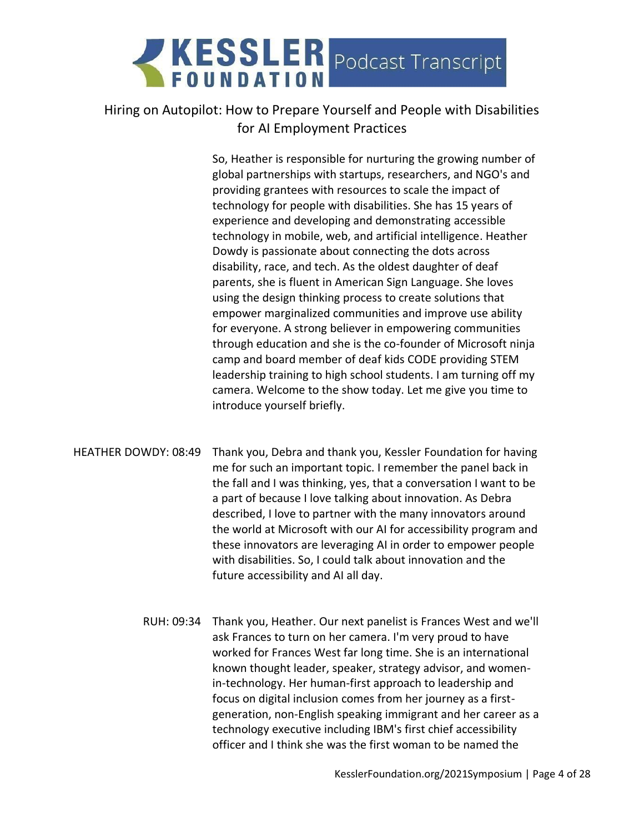### Hiring on Autopilot: How to Prepare Yourself and People with Disabilities for AI Employment Practices

So, Heather is responsible for nurturing the growing number of global partnerships with startups, researchers, and NGO's and providing grantees with resources to scale the impact of technology for people with disabilities. She has 15 years of experience and developing and demonstrating accessible technology in mobile, web, and artificial intelligence. Heather Dowdy is passionate about connecting the dots across disability, race, and tech. As the oldest daughter of deaf parents, she is fluent in American Sign Language. She loves using the design thinking process to create solutions that empower marginalized communities and improve use ability for everyone. A strong believer in empowering communities through education and she is the co-founder of Microsoft ninja camp and board member of deaf kids CODE providing STEM leadership training to high school students. I am turning off my camera. Welcome to the show today. Let me give you time to introduce yourself briefly.

HEATHER DOWDY: 08:49 Thank you, Debra and thank you, Kessler Foundation for having me for such an important topic. I remember the panel back in the fall and I was thinking, yes, that a conversation I want to be a part of because I love talking about innovation. As Debra described, I love to partner with the many innovators around the world at Microsoft with our AI for accessibility program and these innovators are leveraging AI in order to empower people with disabilities. So, I could talk about innovation and the future accessibility and AI all day.

> RUH: 09:34 Thank you, Heather. Our next panelist is Frances West and we'll ask Frances to turn on her camera. I'm very proud to have worked for Frances West far long time. She is an international known thought leader, speaker, strategy advisor, and womenin-technology. Her human-first approach to leadership and focus on digital inclusion comes from her journey as a firstgeneration, non-English speaking immigrant and her career as a technology executive including IBM's first chief accessibility officer and I think she was the first woman to be named the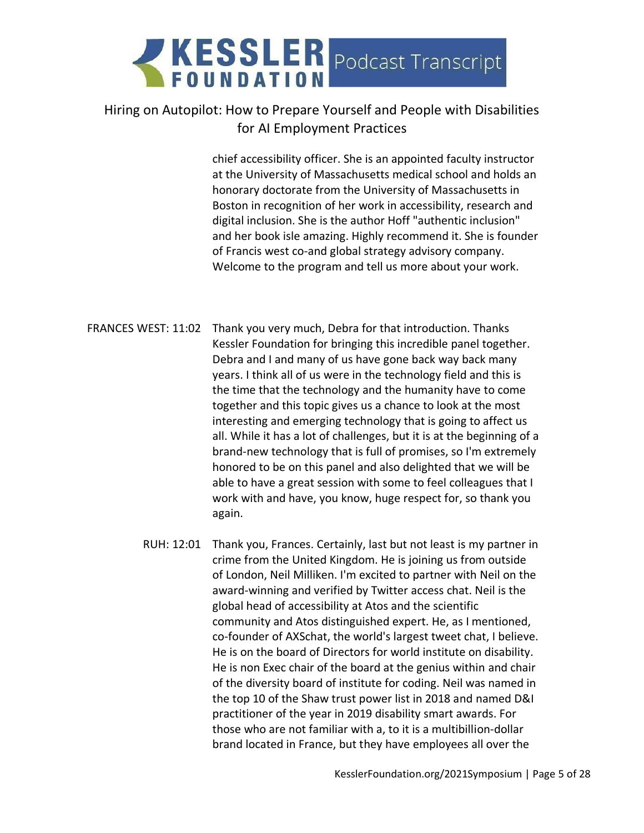### Hiring on Autopilot: How to Prepare Yourself and People with Disabilities for AI Employment Practices

chief accessibility officer. She is an appointed faculty instructor at the University of Massachusetts medical school and holds an honorary doctorate from the University of Massachusetts in Boston in recognition of her work in accessibility, research and digital inclusion. She is the author Hoff "authentic inclusion" and her book isle amazing. Highly recommend it. She is founder of Francis west co-and global strategy advisory company. Welcome to the program and tell us more about your work.

- FRANCES WEST: 11:02 Thank you very much, Debra for that introduction. Thanks Kessler Foundation for bringing this incredible panel together. Debra and I and many of us have gone back way back many years. I think all of us were in the technology field and this is the time that the technology and the humanity have to come together and this topic gives us a chance to look at the most interesting and emerging technology that is going to affect us all. While it has a lot of challenges, but it is at the beginning of a brand-new technology that is full of promises, so I'm extremely honored to be on this panel and also delighted that we will be able to have a great session with some to feel colleagues that I work with and have, you know, huge respect for, so thank you again.
	- RUH: 12:01 Thank you, Frances. Certainly, last but not least is my partner in crime from the United Kingdom. He is joining us from outside of London, Neil Milliken. I'm excited to partner with Neil on the award-winning and verified by Twitter access chat. Neil is the global head of accessibility at Atos and the scientific community and Atos distinguished expert. He, as I mentioned, co-founder of AXSchat, the world's largest tweet chat, I believe. He is on the board of Directors for world institute on disability. He is non Exec chair of the board at the genius within and chair of the diversity board of institute for coding. Neil was named in the top 10 of the Shaw trust power list in 2018 and named D&I practitioner of the year in 2019 disability smart awards. For those who are not familiar with a, to it is a multibillion-dollar brand located in France, but they have employees all over the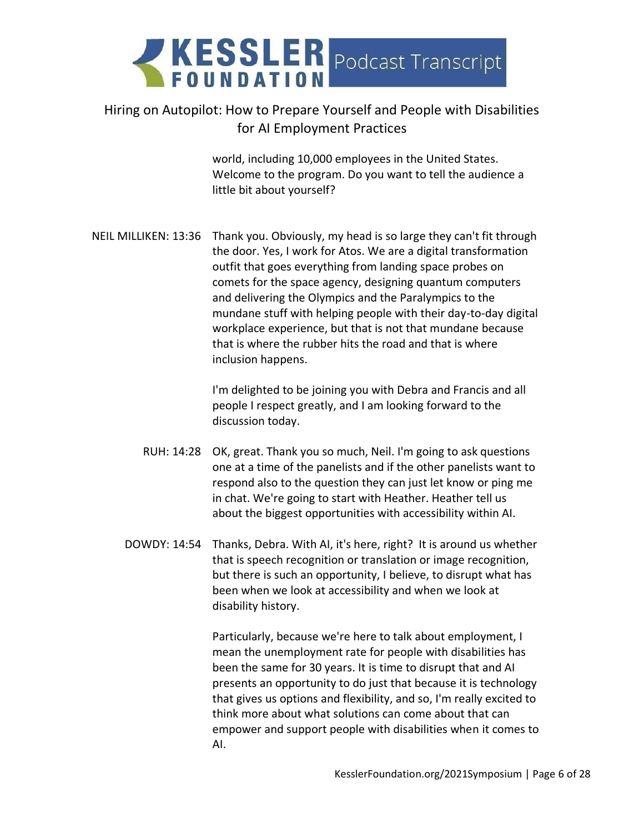### Hiring on Autopilot: How to Prepare Yourself and People with Disabilities for AI Employment Practices

world, including 10,000 employees in the United States. Welcome to the program. Do you want to tell the audience a little bit about yourself?

NEIL MILLIKEN: 13:36 Thank you. Obviously, my head is so large they can't fit through the door. Yes, I work for Atos. We are a digital transformation outfit that goes everything from landing space probes on comets for the space agency, designing quantum computers and delivering the Olympics and the Paralympics to the mundane stuff with helping people with their day-to-day digital workplace experience, but that is not that mundane because that is where the rubber hits the road and that is where inclusion happens.

> I'm delighted to be joining you with Debra and Francis and all people I respect greatly, and I am looking forward to the discussion today.

- RUH: 14:28 OK, great. Thank you so much, Neil. I'm going to ask questions one at a time of the panelists and if the other panelists want to respond also to the question they can just let know or ping me in chat. We're going to start with Heather. Heather tell us about the biggest opportunities with accessibility within AI.
- DOWDY: 14:54 Thanks, Debra. With AI, it's here, right? It is around us whether that is speech recognition or translation or image recognition, but there is such an opportunity, I believe, to disrupt what has been when we look at accessibility and when we look at disability history.

Particularly, because we're here to talk about employment, I mean the unemployment rate for people with disabilities has been the same for 30 years. It is time to disrupt that and AI presents an opportunity to do just that because it is technology that gives us options and flexibility, and so, I'm really excited to think more about what solutions can come about that can empower and support people with disabilities when it comes to AI.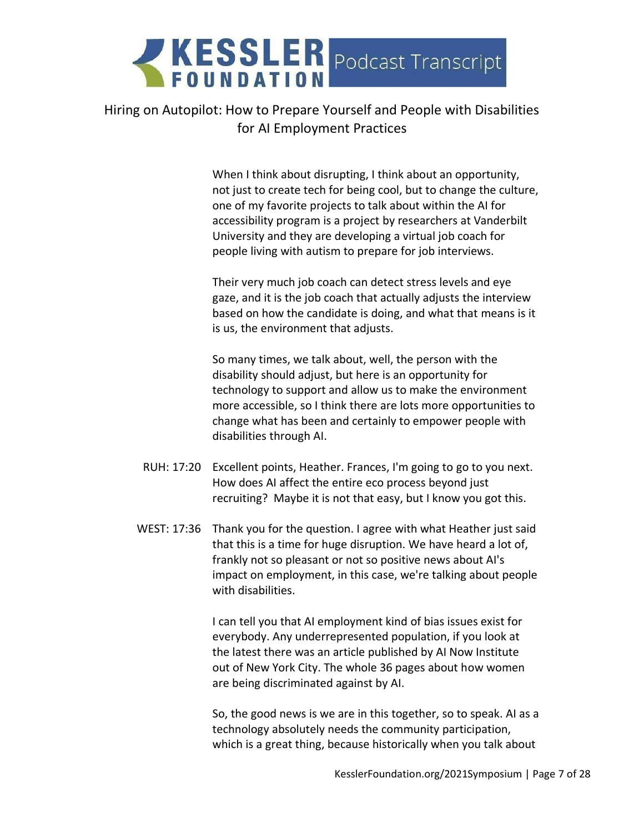### Hiring on Autopilot: How to Prepare Yourself and People with Disabilities for AI Employment Practices

When I think about disrupting, I think about an opportunity, not just to create tech for being cool, but to change the culture, one of my favorite projects to talk about within the AI for accessibility program is a project by researchers at Vanderbilt University and they are developing a virtual job coach for people living with autism to prepare for job interviews.

Their very much job coach can detect stress levels and eye gaze, and it is the job coach that actually adjusts the interview based on how the candidate is doing, and what that means is it is us, the environment that adjusts.

So many times, we talk about, well, the person with the disability should adjust, but here is an opportunity for technology to support and allow us to make the environment more accessible, so I think there are lots more opportunities to change what has been and certainly to empower people with disabilities through AI.

- RUH: 17:20 Excellent points, Heather. Frances, I'm going to go to you next. How does AI affect the entire eco process beyond just recruiting? Maybe it is not that easy, but I know you got this.
- WEST: 17:36 Thank you for the question. I agree with what Heather just said that this is a time for huge disruption. We have heard a lot of, frankly not so pleasant or not so positive news about AI's impact on employment, in this case, we're talking about people with disabilities.

I can tell you that AI employment kind of bias issues exist for everybody. Any underrepresented population, if you look at the latest there was an article published by AI Now Institute out of New York City. The whole 36 pages about how women are being discriminated against by AI.

So, the good news is we are in this together, so to speak. AI as a technology absolutely needs the community participation, which is a great thing, because historically when you talk about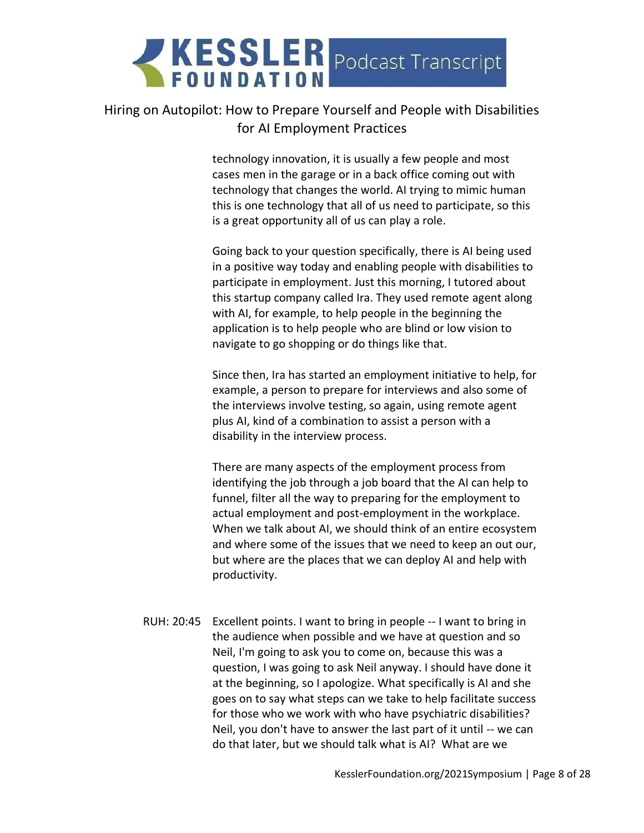### Hiring on Autopilot: How to Prepare Yourself and People with Disabilities for AI Employment Practices

technology innovation, it is usually a few people and most cases men in the garage or in a back office coming out with technology that changes the world. AI trying to mimic human this is one technology that all of us need to participate, so this is a great opportunity all of us can play a role.

Going back to your question specifically, there is AI being used in a positive way today and enabling people with disabilities to participate in employment. Just this morning, I tutored about this startup company called Ira. They used remote agent along with AI, for example, to help people in the beginning the application is to help people who are blind or low vision to navigate to go shopping or do things like that.

Since then, Ira has started an employment initiative to help, for example, a person to prepare for interviews and also some of the interviews involve testing, so again, using remote agent plus AI, kind of a combination to assist a person with a disability in the interview process.

There are many aspects of the employment process from identifying the job through a job board that the AI can help to funnel, filter all the way to preparing for the employment to actual employment and post-employment in the workplace. When we talk about AI, we should think of an entire ecosystem and where some of the issues that we need to keep an out our, but where are the places that we can deploy AI and help with productivity.

RUH: 20:45 Excellent points. I want to bring in people -- I want to bring in the audience when possible and we have at question and so Neil, I'm going to ask you to come on, because this was a question, I was going to ask Neil anyway. I should have done it at the beginning, so I apologize. What specifically is AI and she goes on to say what steps can we take to help facilitate success for those who we work with who have psychiatric disabilities? Neil, you don't have to answer the last part of it until -- we can do that later, but we should talk what is AI? What are we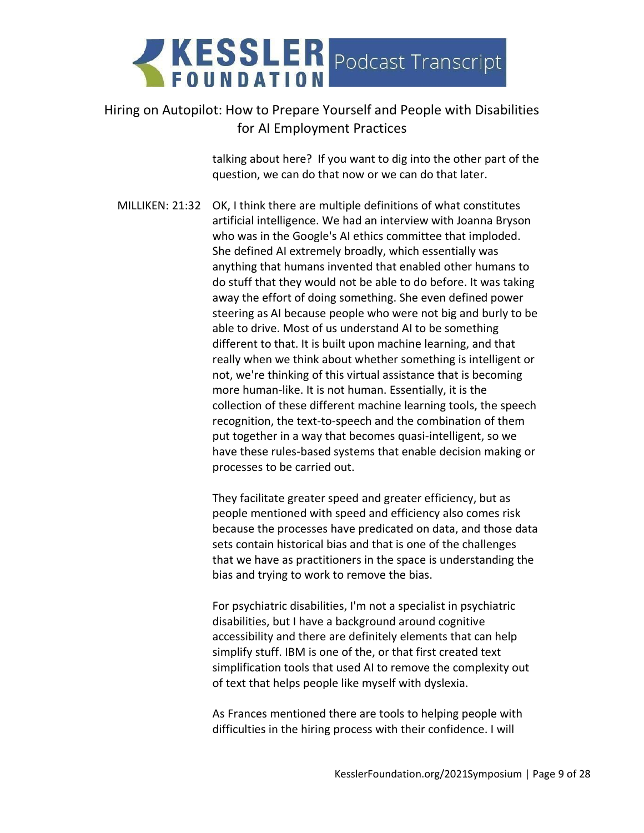### Hiring on Autopilot: How to Prepare Yourself and People with Disabilities for AI Employment Practices

talking about here? If you want to dig into the other part of the question, we can do that now or we can do that later.

MILLIKEN: 21:32 OK, I think there are multiple definitions of what constitutes artificial intelligence. We had an interview with Joanna Bryson who was in the Google's AI ethics committee that imploded. She defined AI extremely broadly, which essentially was anything that humans invented that enabled other humans to do stuff that they would not be able to do before. It was taking away the effort of doing something. She even defined power steering as AI because people who were not big and burly to be able to drive. Most of us understand AI to be something different to that. It is built upon machine learning, and that really when we think about whether something is intelligent or not, we're thinking of this virtual assistance that is becoming more human-like. It is not human. Essentially, it is the collection of these different machine learning tools, the speech recognition, the text-to-speech and the combination of them put together in a way that becomes quasi-intelligent, so we have these rules-based systems that enable decision making or processes to be carried out.

> They facilitate greater speed and greater efficiency, but as people mentioned with speed and efficiency also comes risk because the processes have predicated on data, and those data sets contain historical bias and that is one of the challenges that we have as practitioners in the space is understanding the bias and trying to work to remove the bias.

For psychiatric disabilities, I'm not a specialist in psychiatric disabilities, but I have a background around cognitive accessibility and there are definitely elements that can help simplify stuff. IBM is one of the, or that first created text simplification tools that used AI to remove the complexity out of text that helps people like myself with dyslexia.

As Frances mentioned there are tools to helping people with difficulties in the hiring process with their confidence. I will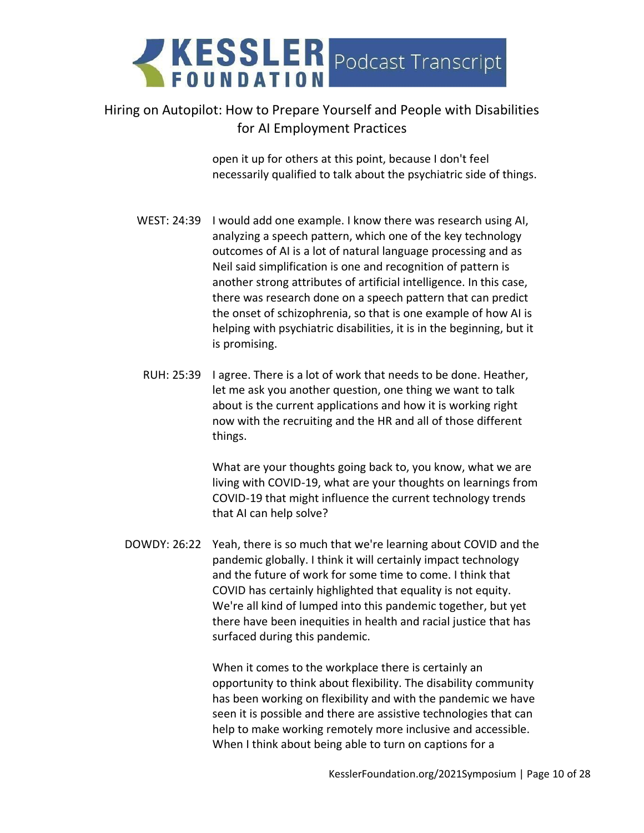### Hiring on Autopilot: How to Prepare Yourself and People with Disabilities for AI Employment Practices

open it up for others at this point, because I don't feel necessarily qualified to talk about the psychiatric side of things.

- WEST: 24:39 I would add one example. I know there was research using AI, analyzing a speech pattern, which one of the key technology outcomes of AI is a lot of natural language processing and as Neil said simplification is one and recognition of pattern is another strong attributes of artificial intelligence. In this case, there was research done on a speech pattern that can predict the onset of schizophrenia, so that is one example of how AI is helping with psychiatric disabilities, it is in the beginning, but it is promising.
- RUH: 25:39 I agree. There is a lot of work that needs to be done. Heather, let me ask you another question, one thing we want to talk about is the current applications and how it is working right now with the recruiting and the HR and all of those different things.

What are your thoughts going back to, you know, what we are living with COVID-19, what are your thoughts on learnings from COVID-19 that might influence the current technology trends that AI can help solve?

DOWDY: 26:22 Yeah, there is so much that we're learning about COVID and the pandemic globally. I think it will certainly impact technology and the future of work for some time to come. I think that COVID has certainly highlighted that equality is not equity. We're all kind of lumped into this pandemic together, but yet there have been inequities in health and racial justice that has surfaced during this pandemic.

> When it comes to the workplace there is certainly an opportunity to think about flexibility. The disability community has been working on flexibility and with the pandemic we have seen it is possible and there are assistive technologies that can help to make working remotely more inclusive and accessible. When I think about being able to turn on captions for a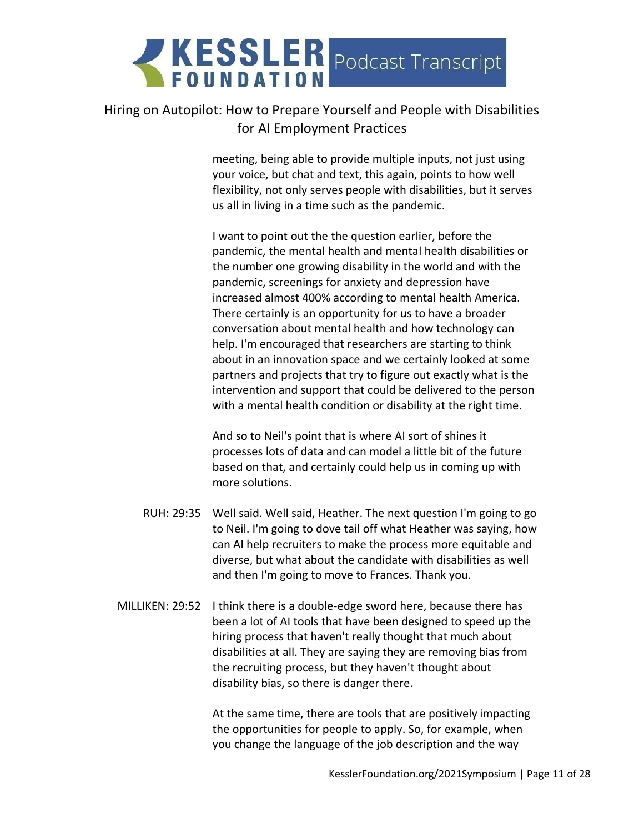### Hiring on Autopilot: How to Prepare Yourself and People with Disabilities for AI Employment Practices

meeting, being able to provide multiple inputs, not just using your voice, but chat and text, this again, points to how well flexibility, not only serves people with disabilities, but it serves us all in living in a time such as the pandemic.

I want to point out the the question earlier, before the pandemic, the mental health and mental health disabilities or the number one growing disability in the world and with the pandemic, screenings for anxiety and depression have increased almost 400% according to mental health America. There certainly is an opportunity for us to have a broader conversation about mental health and how technology can help. I'm encouraged that researchers are starting to think about in an innovation space and we certainly looked at some partners and projects that try to figure out exactly what is the intervention and support that could be delivered to the person with a mental health condition or disability at the right time.

And so to Neil's point that is where AI sort of shines it processes lots of data and can model a little bit of the future based on that, and certainly could help us in coming up with more solutions.

- RUH: 29:35 Well said. Well said, Heather. The next question I'm going to go to Neil. I'm going to dove tail off what Heather was saying, how can AI help recruiters to make the process more equitable and diverse, but what about the candidate with disabilities as well and then I'm going to move to Frances. Thank you.
- MILLIKEN: 29:52 I think there is a double-edge sword here, because there has been a lot of AI tools that have been designed to speed up the hiring process that haven't really thought that much about disabilities at all. They are saying they are removing bias from the recruiting process, but they haven't thought about disability bias, so there is danger there.

At the same time, there are tools that are positively impacting the opportunities for people to apply. So, for example, when you change the language of the job description and the way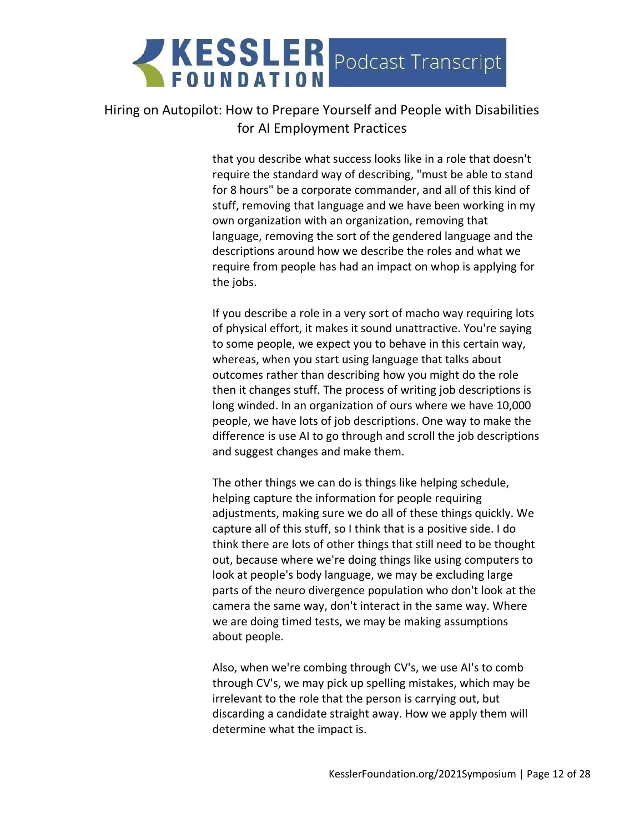### Hiring on Autopilot: How to Prepare Yourself and People with Disabilities for AI Employment Practices

that you describe what success looks like in a role that doesn't require the standard way of describing, "must be able to stand for 8 hours" be a corporate commander, and all of this kind of stuff, removing that language and we have been working in my own organization with an organization, removing that language, removing the sort of the gendered language and the descriptions around how we describe the roles and what we require from people has had an impact on whop is applying for the jobs.

If you describe a role in a very sort of macho way requiring lots of physical effort, it makes it sound unattractive. You're saying to some people, we expect you to behave in this certain way, whereas, when you start using language that talks about outcomes rather than describing how you might do the role then it changes stuff. The process of writing job descriptions is long winded. In an organization of ours where we have 10,000 people, we have lots of job descriptions. One way to make the difference is use AI to go through and scroll the job descriptions and suggest changes and make them.

The other things we can do is things like helping schedule, helping capture the information for people requiring adjustments, making sure we do all of these things quickly. We capture all of this stuff, so I think that is a positive side. I do think there are lots of other things that still need to be thought out, because where we're doing things like using computers to look at people's body language, we may be excluding large parts of the neuro divergence population who don't look at the camera the same way, don't interact in the same way. Where we are doing timed tests, we may be making assumptions about people.

Also, when we're combing through CV's, we use AI's to comb through CV's, we may pick up spelling mistakes, which may be irrelevant to the role that the person is carrying out, but discarding a candidate straight away. How we apply them will determine what the impact is.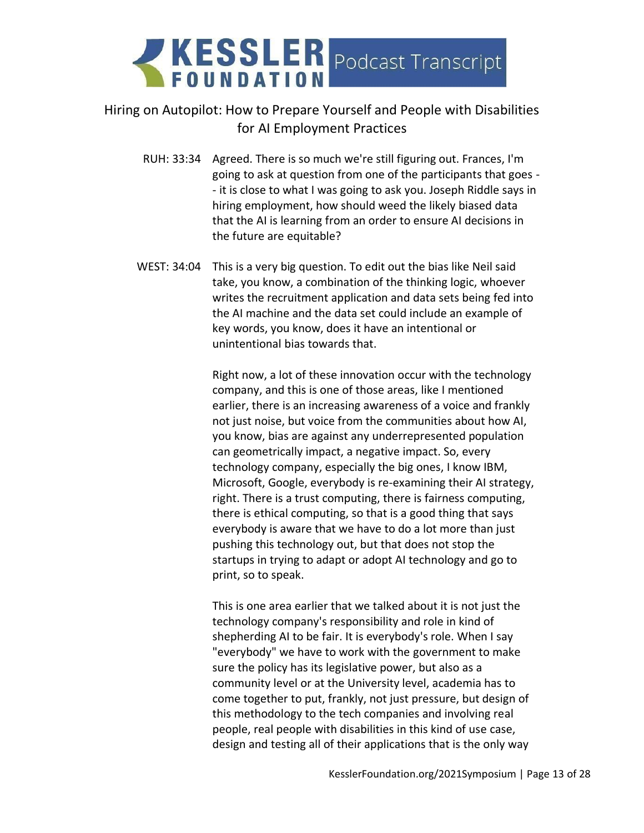### Hiring on Autopilot: How to Prepare Yourself and People with Disabilities for AI Employment Practices

- RUH: 33:34 Agreed. There is so much we're still figuring out. Frances, I'm going to ask at question from one of the participants that goes - - it is close to what I was going to ask you. Joseph Riddle says in hiring employment, how should weed the likely biased data that the AI is learning from an order to ensure AI decisions in the future are equitable?
- WEST: 34:04 This is a very big question. To edit out the bias like Neil said take, you know, a combination of the thinking logic, whoever writes the recruitment application and data sets being fed into the AI machine and the data set could include an example of key words, you know, does it have an intentional or unintentional bias towards that.

Right now, a lot of these innovation occur with the technology company, and this is one of those areas, like I mentioned earlier, there is an increasing awareness of a voice and frankly not just noise, but voice from the communities about how AI, you know, bias are against any underrepresented population can geometrically impact, a negative impact. So, every technology company, especially the big ones, I know IBM, Microsoft, Google, everybody is re-examining their AI strategy, right. There is a trust computing, there is fairness computing, there is ethical computing, so that is a good thing that says everybody is aware that we have to do a lot more than just pushing this technology out, but that does not stop the startups in trying to adapt or adopt AI technology and go to print, so to speak.

This is one area earlier that we talked about it is not just the technology company's responsibility and role in kind of shepherding AI to be fair. It is everybody's role. When I say "everybody" we have to work with the government to make sure the policy has its legislative power, but also as a community level or at the University level, academia has to come together to put, frankly, not just pressure, but design of this methodology to the tech companies and involving real people, real people with disabilities in this kind of use case, design and testing all of their applications that is the only way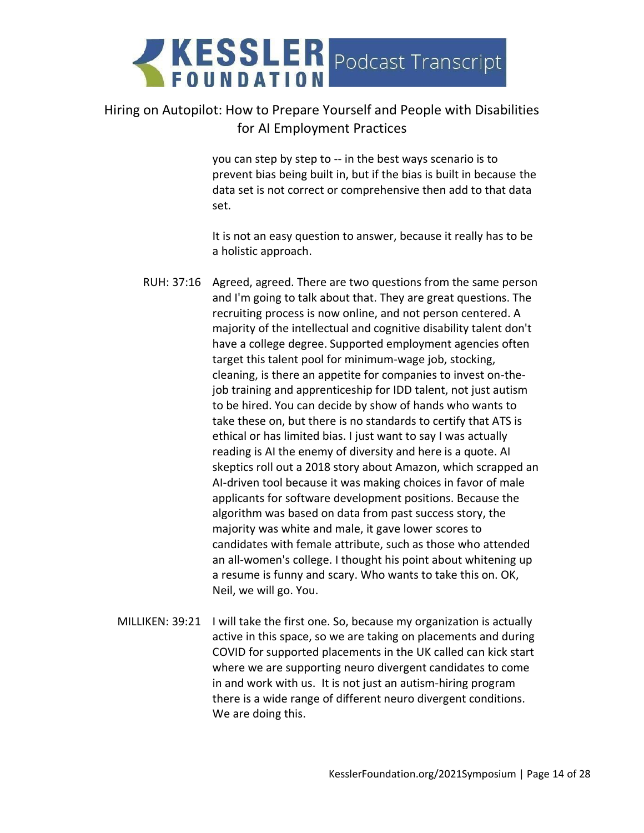### Hiring on Autopilot: How to Prepare Yourself and People with Disabilities for AI Employment Practices

you can step by step to -- in the best ways scenario is to prevent bias being built in, but if the bias is built in because the data set is not correct or comprehensive then add to that data set.

It is not an easy question to answer, because it really has to be a holistic approach.

- RUH: 37:16 Agreed, agreed. There are two questions from the same person and I'm going to talk about that. They are great questions. The recruiting process is now online, and not person centered. A majority of the intellectual and cognitive disability talent don't have a college degree. Supported employment agencies often target this talent pool for minimum-wage job, stocking, cleaning, is there an appetite for companies to invest on-thejob training and apprenticeship for IDD talent, not just autism to be hired. You can decide by show of hands who wants to take these on, but there is no standards to certify that ATS is ethical or has limited bias. I just want to say I was actually reading is AI the enemy of diversity and here is a quote. AI skeptics roll out a 2018 story about Amazon, which scrapped an AI-driven tool because it was making choices in favor of male applicants for software development positions. Because the algorithm was based on data from past success story, the majority was white and male, it gave lower scores to candidates with female attribute, such as those who attended an all-women's college. I thought his point about whitening up a resume is funny and scary. Who wants to take this on. OK, Neil, we will go. You.
- MILLIKEN: 39:21 I will take the first one. So, because my organization is actually active in this space, so we are taking on placements and during COVID for supported placements in the UK called can kick start where we are supporting neuro divergent candidates to come in and work with us. It is not just an autism-hiring program there is a wide range of different neuro divergent conditions. We are doing this.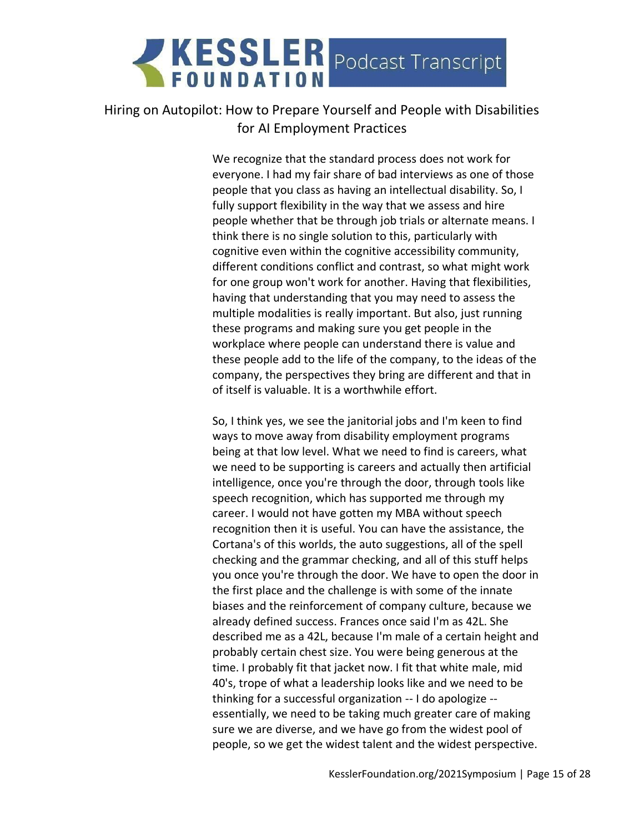### Hiring on Autopilot: How to Prepare Yourself and People with Disabilities for AI Employment Practices

We recognize that the standard process does not work for everyone. I had my fair share of bad interviews as one of those people that you class as having an intellectual disability. So, I fully support flexibility in the way that we assess and hire people whether that be through job trials or alternate means. I think there is no single solution to this, particularly with cognitive even within the cognitive accessibility community, different conditions conflict and contrast, so what might work for one group won't work for another. Having that flexibilities, having that understanding that you may need to assess the multiple modalities is really important. But also, just running these programs and making sure you get people in the workplace where people can understand there is value and these people add to the life of the company, to the ideas of the company, the perspectives they bring are different and that in of itself is valuable. It is a worthwhile effort.

So, I think yes, we see the janitorial jobs and I'm keen to find ways to move away from disability employment programs being at that low level. What we need to find is careers, what we need to be supporting is careers and actually then artificial intelligence, once you're through the door, through tools like speech recognition, which has supported me through my career. I would not have gotten my MBA without speech recognition then it is useful. You can have the assistance, the Cortana's of this worlds, the auto suggestions, all of the spell checking and the grammar checking, and all of this stuff helps you once you're through the door. We have to open the door in the first place and the challenge is with some of the innate biases and the reinforcement of company culture, because we already defined success. Frances once said I'm as 42L. She described me as a 42L, because I'm male of a certain height and probably certain chest size. You were being generous at the time. I probably fit that jacket now. I fit that white male, mid 40's, trope of what a leadership looks like and we need to be thinking for a successful organization -- I do apologize - essentially, we need to be taking much greater care of making sure we are diverse, and we have go from the widest pool of people, so we get the widest talent and the widest perspective.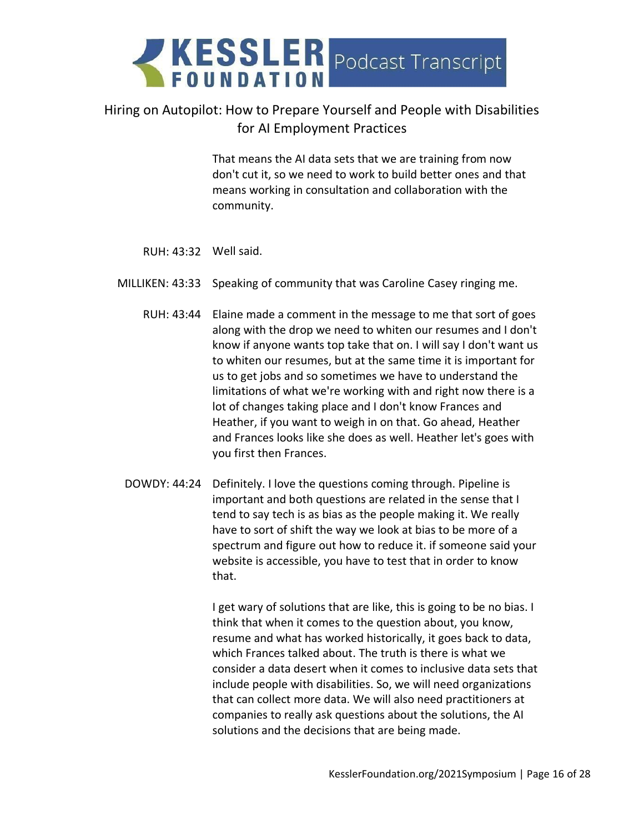### Hiring on Autopilot: How to Prepare Yourself and People with Disabilities for AI Employment Practices

That means the AI data sets that we are training from now don't cut it, so we need to work to build better ones and that means working in consultation and collaboration with the community.

RUH: 43:32 Well said.

- MILLIKEN: 43:33 Speaking of community that was Caroline Casey ringing me.
	- RUH: 43:44 Elaine made a comment in the message to me that sort of goes along with the drop we need to whiten our resumes and I don't know if anyone wants top take that on. I will say I don't want us to whiten our resumes, but at the same time it is important for us to get jobs and so sometimes we have to understand the limitations of what we're working with and right now there is a lot of changes taking place and I don't know Frances and Heather, if you want to weigh in on that. Go ahead, Heather and Frances looks like she does as well. Heather let's goes with you first then Frances.
	- DOWDY: 44:24 Definitely. I love the questions coming through. Pipeline is important and both questions are related in the sense that I tend to say tech is as bias as the people making it. We really have to sort of shift the way we look at bias to be more of a spectrum and figure out how to reduce it. if someone said your website is accessible, you have to test that in order to know that.

I get wary of solutions that are like, this is going to be no bias. I think that when it comes to the question about, you know, resume and what has worked historically, it goes back to data, which Frances talked about. The truth is there is what we consider a data desert when it comes to inclusive data sets that include people with disabilities. So, we will need organizations that can collect more data. We will also need practitioners at companies to really ask questions about the solutions, the AI solutions and the decisions that are being made.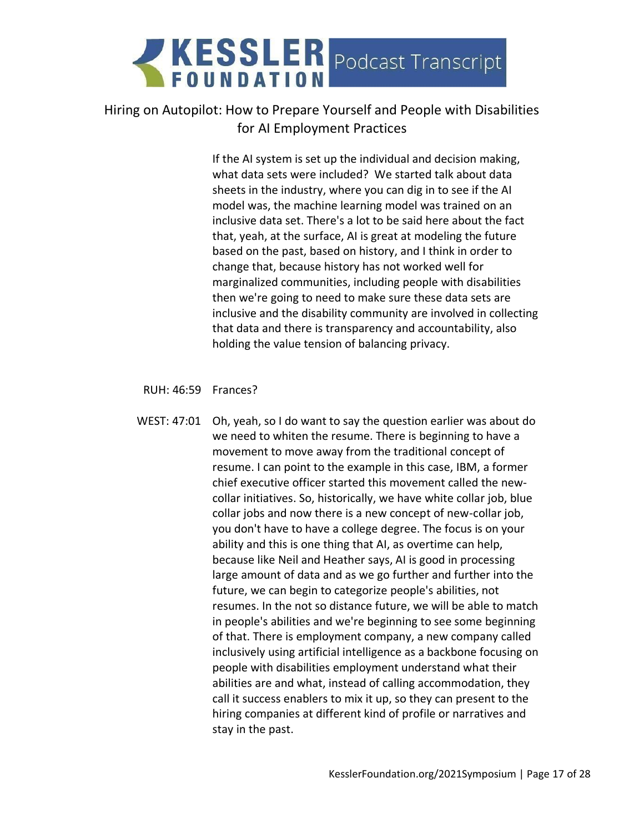### Hiring on Autopilot: How to Prepare Yourself and People with Disabilities for AI Employment Practices

If the AI system is set up the individual and decision making, what data sets were included? We started talk about data sheets in the industry, where you can dig in to see if the AI model was, the machine learning model was trained on an inclusive data set. There's a lot to be said here about the fact that, yeah, at the surface, AI is great at modeling the future based on the past, based on history, and I think in order to change that, because history has not worked well for marginalized communities, including people with disabilities then we're going to need to make sure these data sets are inclusive and the disability community are involved in collecting that data and there is transparency and accountability, also holding the value tension of balancing privacy.

RUH: 46:59 Frances?

WEST: 47:01 Oh, yeah, so I do want to say the question earlier was about do we need to whiten the resume. There is beginning to have a movement to move away from the traditional concept of resume. I can point to the example in this case, IBM, a former chief executive officer started this movement called the newcollar initiatives. So, historically, we have white collar job, blue collar jobs and now there is a new concept of new-collar job, you don't have to have a college degree. The focus is on your ability and this is one thing that AI, as overtime can help, because like Neil and Heather says, AI is good in processing large amount of data and as we go further and further into the future, we can begin to categorize people's abilities, not resumes. In the not so distance future, we will be able to match in people's abilities and we're beginning to see some beginning of that. There is employment company, a new company called inclusively using artificial intelligence as a backbone focusing on people with disabilities employment understand what their abilities are and what, instead of calling accommodation, they call it success enablers to mix it up, so they can present to the hiring companies at different kind of profile or narratives and stay in the past.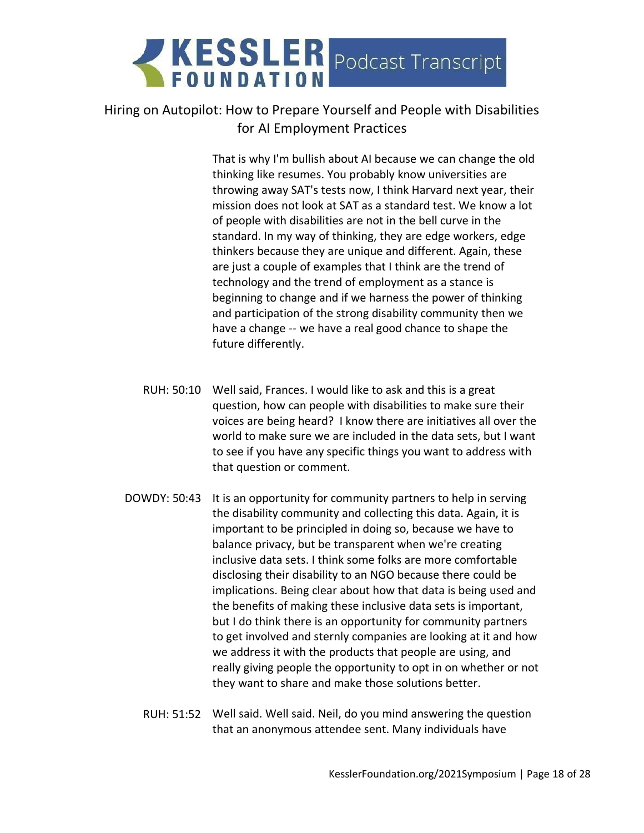### Hiring on Autopilot: How to Prepare Yourself and People with Disabilities for AI Employment Practices

That is why I'm bullish about AI because we can change the old thinking like resumes. You probably know universities are throwing away SAT's tests now, I think Harvard next year, their mission does not look at SAT as a standard test. We know a lot of people with disabilities are not in the bell curve in the standard. In my way of thinking, they are edge workers, edge thinkers because they are unique and different. Again, these are just a couple of examples that I think are the trend of technology and the trend of employment as a stance is beginning to change and if we harness the power of thinking and participation of the strong disability community then we have a change -- we have a real good chance to shape the future differently.

- RUH: 50:10 Well said, Frances. I would like to ask and this is a great question, how can people with disabilities to make sure their voices are being heard? I know there are initiatives all over the world to make sure we are included in the data sets, but I want to see if you have any specific things you want to address with that question or comment.
- DOWDY: 50:43 It is an opportunity for community partners to help in serving the disability community and collecting this data. Again, it is important to be principled in doing so, because we have to balance privacy, but be transparent when we're creating inclusive data sets. I think some folks are more comfortable disclosing their disability to an NGO because there could be implications. Being clear about how that data is being used and the benefits of making these inclusive data sets is important, but I do think there is an opportunity for community partners to get involved and sternly companies are looking at it and how we address it with the products that people are using, and really giving people the opportunity to opt in on whether or not they want to share and make those solutions better.
	- RUH: 51:52 Well said. Well said. Neil, do you mind answering the question that an anonymous attendee sent. Many individuals have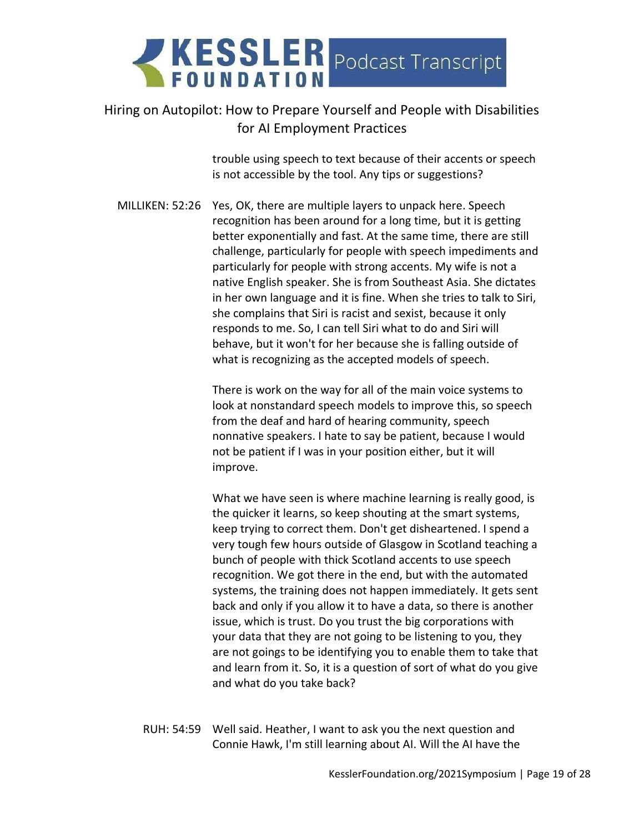### Hiring on Autopilot: How to Prepare Yourself and People with Disabilities for AI Employment Practices

trouble using speech to text because of their accents or speech is not accessible by the tool. Any tips or suggestions?

MILLIKEN: 52:26 Yes, OK, there are multiple layers to unpack here. Speech recognition has been around for a long time, but it is getting better exponentially and fast. At the same time, there are still challenge, particularly for people with speech impediments and particularly for people with strong accents. My wife is not a native English speaker. She is from Southeast Asia. She dictates in her own language and it is fine. When she tries to talk to Siri, she complains that Siri is racist and sexist, because it only responds to me. So, I can tell Siri what to do and Siri will behave, but it won't for her because she is falling outside of what is recognizing as the accepted models of speech.

> There is work on the way for all of the main voice systems to look at nonstandard speech models to improve this, so speech from the deaf and hard of hearing community, speech nonnative speakers. I hate to say be patient, because I would not be patient if I was in your position either, but it will improve.

What we have seen is where machine learning is really good, is the quicker it learns, so keep shouting at the smart systems, keep trying to correct them. Don't get disheartened. I spend a very tough few hours outside of Glasgow in Scotland teaching a bunch of people with thick Scotland accents to use speech recognition. We got there in the end, but with the automated systems, the training does not happen immediately. It gets sent back and only if you allow it to have a data, so there is another issue, which is trust. Do you trust the big corporations with your data that they are not going to be listening to you, they are not goings to be identifying you to enable them to take that and learn from it. So, it is a question of sort of what do you give and what do you take back?

RUH: 54:59 Well said. Heather, I want to ask you the next question and Connie Hawk, I'm still learning about AI. Will the AI have the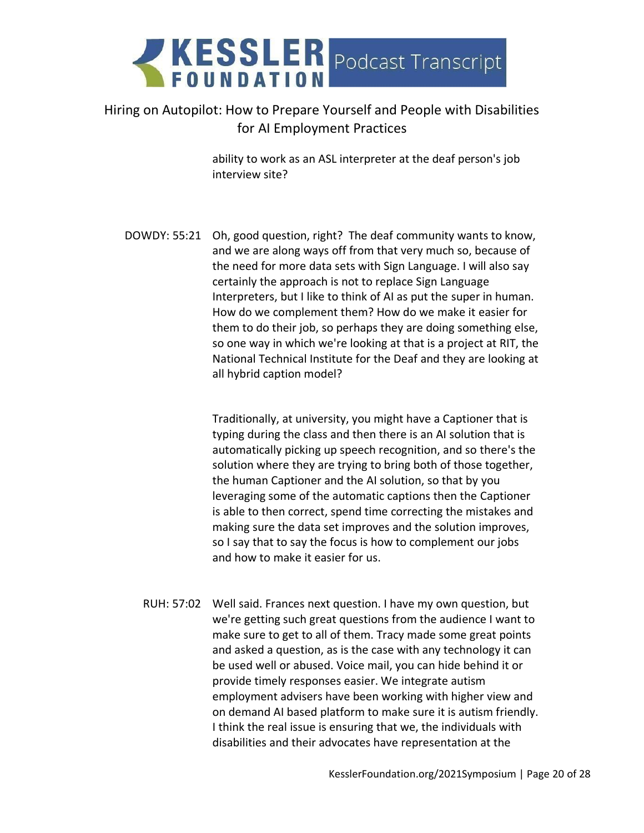### Hiring on Autopilot: How to Prepare Yourself and People with Disabilities for AI Employment Practices

ability to work as an ASL interpreter at the deaf person's job interview site?

DOWDY: 55:21 Oh, good question, right? The deaf community wants to know, and we are along ways off from that very much so, because of the need for more data sets with Sign Language. I will also say certainly the approach is not to replace Sign Language Interpreters, but I like to think of AI as put the super in human. How do we complement them? How do we make it easier for them to do their job, so perhaps they are doing something else, so one way in which we're looking at that is a project at RIT, the National Technical Institute for the Deaf and they are looking at all hybrid caption model?

> Traditionally, at university, you might have a Captioner that is typing during the class and then there is an AI solution that is automatically picking up speech recognition, and so there's the solution where they are trying to bring both of those together, the human Captioner and the AI solution, so that by you leveraging some of the automatic captions then the Captioner is able to then correct, spend time correcting the mistakes and making sure the data set improves and the solution improves, so I say that to say the focus is how to complement our jobs and how to make it easier for us.

RUH: 57:02 Well said. Frances next question. I have my own question, but we're getting such great questions from the audience I want to make sure to get to all of them. Tracy made some great points and asked a question, as is the case with any technology it can be used well or abused. Voice mail, you can hide behind it or provide timely responses easier. We integrate autism employment advisers have been working with higher view and on demand AI based platform to make sure it is autism friendly. I think the real issue is ensuring that we, the individuals with disabilities and their advocates have representation at the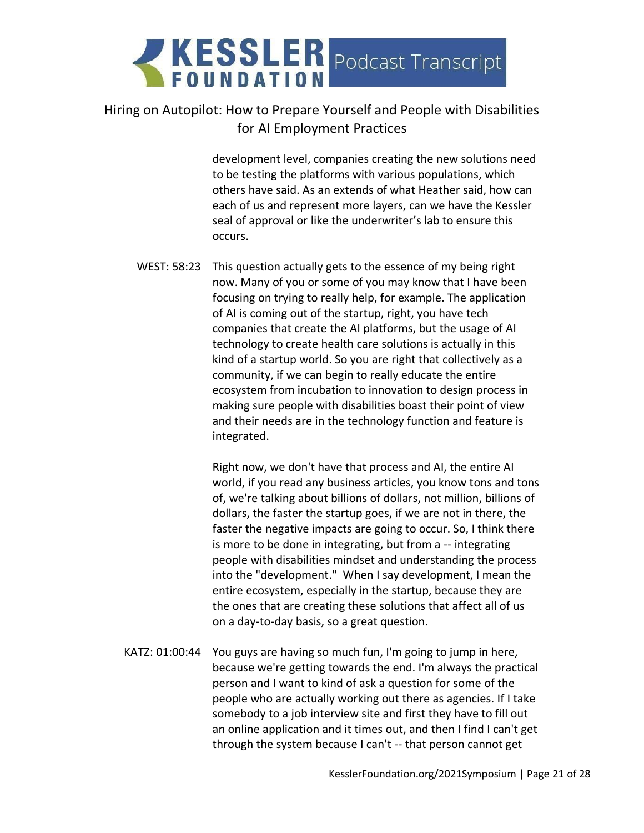### Hiring on Autopilot: How to Prepare Yourself and People with Disabilities for AI Employment Practices

development level, companies creating the new solutions need to be testing the platforms with various populations, which others have said. As an extends of what Heather said, how can each of us and represent more layers, can we have the Kessler seal of approval or like the underwriter's lab to ensure this occurs.

WEST: 58:23 This question actually gets to the essence of my being right now. Many of you or some of you may know that I have been focusing on trying to really help, for example. The application of AI is coming out of the startup, right, you have tech companies that create the AI platforms, but the usage of AI technology to create health care solutions is actually in this kind of a startup world. So you are right that collectively as a community, if we can begin to really educate the entire ecosystem from incubation to innovation to design process in making sure people with disabilities boast their point of view and their needs are in the technology function and feature is integrated.

> Right now, we don't have that process and AI, the entire AI world, if you read any business articles, you know tons and tons of, we're talking about billions of dollars, not million, billions of dollars, the faster the startup goes, if we are not in there, the faster the negative impacts are going to occur. So, I think there is more to be done in integrating, but from a -- integrating people with disabilities mindset and understanding the process into the "development." When I say development, I mean the entire ecosystem, especially in the startup, because they are the ones that are creating these solutions that affect all of us on a day-to-day basis, so a great question.

KATZ: 01:00:44 You guys are having so much fun, I'm going to jump in here, because we're getting towards the end. I'm always the practical person and I want to kind of ask a question for some of the people who are actually working out there as agencies. If I take somebody to a job interview site and first they have to fill out an online application and it times out, and then I find I can't get through the system because I can't -- that person cannot get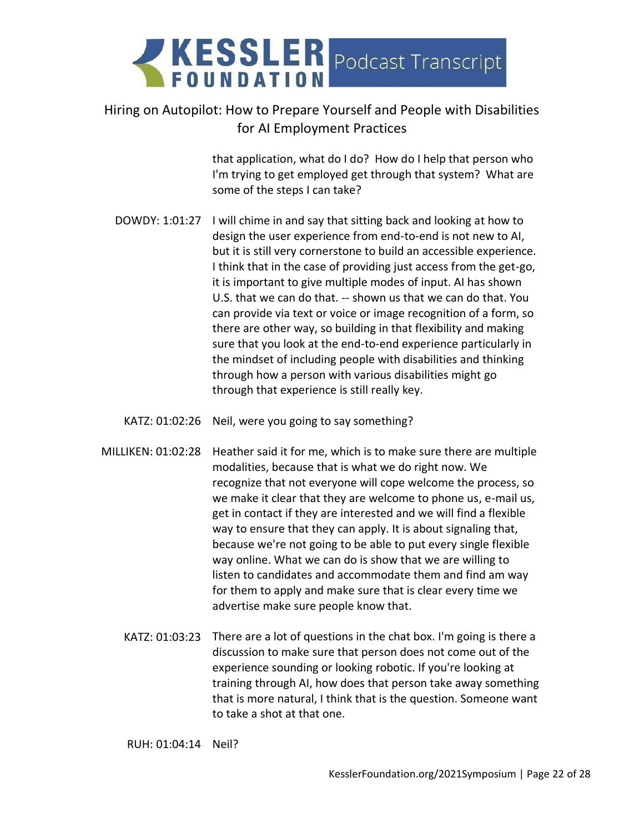### Hiring on Autopilot: How to Prepare Yourself and People with Disabilities for AI Employment Practices

that application, what do I do? How do I help that person who I'm trying to get employed get through that system? What are some of the steps I can take?

- DOWDY: 1:01:27 I will chime in and say that sitting back and looking at how to design the user experience from end-to-end is not new to AI, but it is still very cornerstone to build an accessible experience. I think that in the case of providing just access from the get-go, it is important to give multiple modes of input. AI has shown U.S. that we can do that. -- shown us that we can do that. You can provide via text or voice or image recognition of a form, so there are other way, so building in that flexibility and making sure that you look at the end-to-end experience particularly in the mindset of including people with disabilities and thinking through how a person with various disabilities might go through that experience is still really key.
	- KATZ: 01:02:26 Neil, were you going to say something?
- MILLIKEN: 01:02:28 Heather said it for me, which is to make sure there are multiple modalities, because that is what we do right now. We recognize that not everyone will cope welcome the process, so we make it clear that they are welcome to phone us, e-mail us, get in contact if they are interested and we will find a flexible way to ensure that they can apply. It is about signaling that, because we're not going to be able to put every single flexible way online. What we can do is show that we are willing to listen to candidates and accommodate them and find am way for them to apply and make sure that is clear every time we advertise make sure people know that.
	- KATZ: 01:03:23 There are a lot of questions in the chat box. I'm going is there a discussion to make sure that person does not come out of the experience sounding or looking robotic. If you're looking at training through AI, how does that person take away something that is more natural, I think that is the question. Someone want to take a shot at that one.

RUH: 01:04:14 Neil?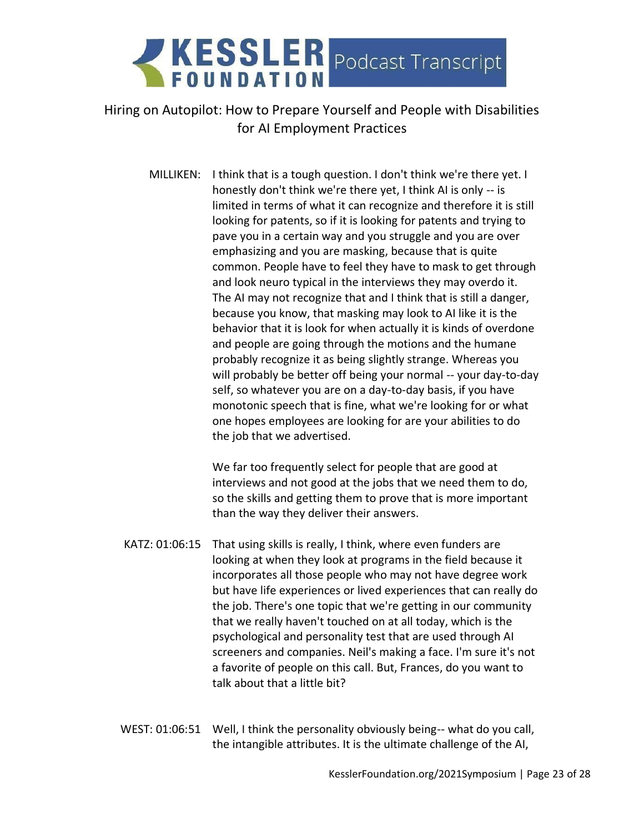### Hiring on Autopilot: How to Prepare Yourself and People with Disabilities for AI Employment Practices

MILLIKEN: I think that is a tough question. I don't think we're there yet. I honestly don't think we're there yet, I think AI is only -- is limited in terms of what it can recognize and therefore it is still looking for patents, so if it is looking for patents and trying to pave you in a certain way and you struggle and you are over emphasizing and you are masking, because that is quite common. People have to feel they have to mask to get through and look neuro typical in the interviews they may overdo it. The AI may not recognize that and I think that is still a danger, because you know, that masking may look to AI like it is the behavior that it is look for when actually it is kinds of overdone and people are going through the motions and the humane probably recognize it as being slightly strange. Whereas you will probably be better off being your normal -- your day-to-day self, so whatever you are on a day-to-day basis, if you have monotonic speech that is fine, what we're looking for or what one hopes employees are looking for are your abilities to do the job that we advertised.

> We far too frequently select for people that are good at interviews and not good at the jobs that we need them to do, so the skills and getting them to prove that is more important than the way they deliver their answers.

- KATZ: 01:06:15 That using skills is really, I think, where even funders are looking at when they look at programs in the field because it incorporates all those people who may not have degree work but have life experiences or lived experiences that can really do the job. There's one topic that we're getting in our community that we really haven't touched on at all today, which is the psychological and personality test that are used through AI screeners and companies. Neil's making a face. I'm sure it's not a favorite of people on this call. But, Frances, do you want to talk about that a little bit?
- WEST: 01:06:51 Well, I think the personality obviously being-- what do you call, the intangible attributes. It is the ultimate challenge of the AI,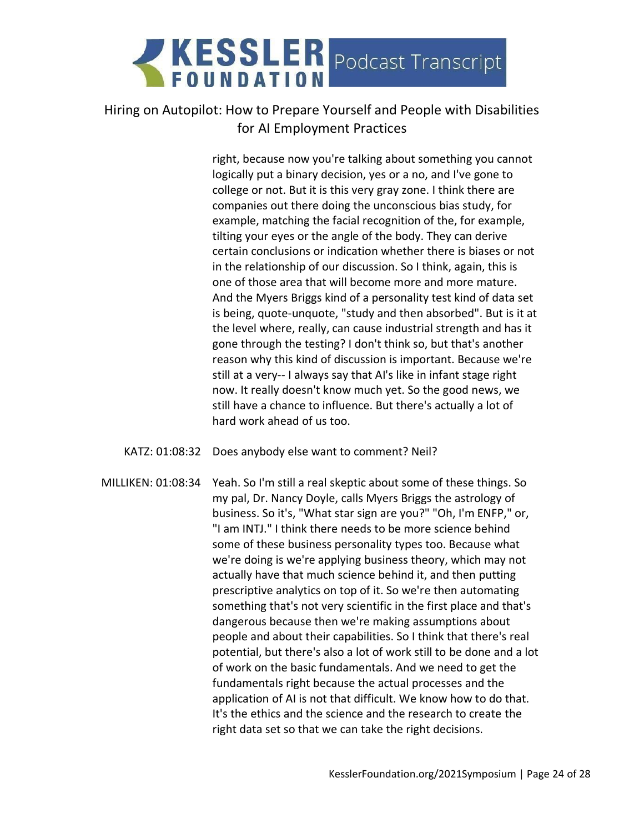### Hiring on Autopilot: How to Prepare Yourself and People with Disabilities for AI Employment Practices

right, because now you're talking about something you cannot logically put a binary decision, yes or a no, and I've gone to college or not. But it is this very gray zone. I think there are companies out there doing the unconscious bias study, for example, matching the facial recognition of the, for example, tilting your eyes or the angle of the body. They can derive certain conclusions or indication whether there is biases or not in the relationship of our discussion. So I think, again, this is one of those area that will become more and more mature. And the Myers Briggs kind of a personality test kind of data set is being, quote-unquote, "study and then absorbed". But is it at the level where, really, can cause industrial strength and has it gone through the testing? I don't think so, but that's another reason why this kind of discussion is important. Because we're still at a very-- I always say that AI's like in infant stage right now. It really doesn't know much yet. So the good news, we still have a chance to influence. But there's actually a lot of hard work ahead of us too.

- KATZ: 01:08:32 Does anybody else want to comment? Neil?
- MILLIKEN: 01:08:34 Yeah. So I'm still a real skeptic about some of these things. So my pal, Dr. Nancy Doyle, calls Myers Briggs the astrology of business. So it's, "What star sign are you?" "Oh, I'm ENFP," or, "I am INTJ." I think there needs to be more science behind some of these business personality types too. Because what we're doing is we're applying business theory, which may not actually have that much science behind it, and then putting prescriptive analytics on top of it. So we're then automating something that's not very scientific in the first place and that's dangerous because then we're making assumptions about people and about their capabilities. So I think that there's real potential, but there's also a lot of work still to be done and a lot of work on the basic fundamentals. And we need to get the fundamentals right because the actual processes and the application of AI is not that difficult. We know how to do that. It's the ethics and the science and the research to create the right data set so that we can take the right decisions.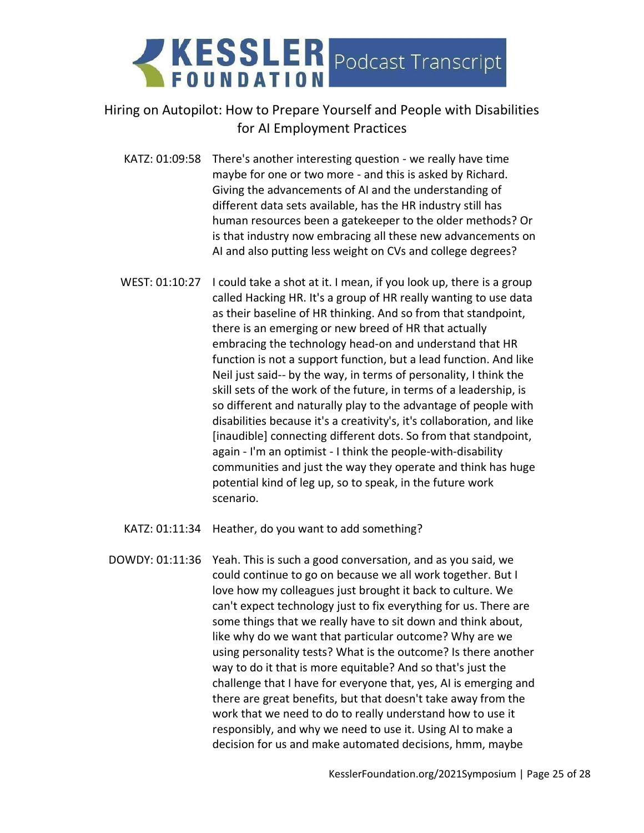### Hiring on Autopilot: How to Prepare Yourself and People with Disabilities for AI Employment Practices

- KATZ: 01:09:58 There's another interesting question we really have time maybe for one or two more - and this is asked by Richard. Giving the advancements of AI and the understanding of different data sets available, has the HR industry still has human resources been a gatekeeper to the older methods? Or is that industry now embracing all these new advancements on AI and also putting less weight on CVs and college degrees?
- WEST: 01:10:27 I could take a shot at it. I mean, if you look up, there is a group called Hacking HR. It's a group of HR really wanting to use data as their baseline of HR thinking. And so from that standpoint, there is an emerging or new breed of HR that actually embracing the technology head-on and understand that HR function is not a support function, but a lead function. And like Neil just said-- by the way, in terms of personality, I think the skill sets of the work of the future, in terms of a leadership, is so different and naturally play to the advantage of people with disabilities because it's a creativity's, it's collaboration, and like [inaudible] connecting different dots. So from that standpoint, again - I'm an optimist - I think the people-with-disability communities and just the way they operate and think has huge potential kind of leg up, so to speak, in the future work scenario.
- KATZ: 01:11:34 Heather, do you want to add something?
- DOWDY: 01:11:36 Yeah. This is such a good conversation, and as you said, we could continue to go on because we all work together. But I love how my colleagues just brought it back to culture. We can't expect technology just to fix everything for us. There are some things that we really have to sit down and think about, like why do we want that particular outcome? Why are we using personality tests? What is the outcome? Is there another way to do it that is more equitable? And so that's just the challenge that I have for everyone that, yes, AI is emerging and there are great benefits, but that doesn't take away from the work that we need to do to really understand how to use it responsibly, and why we need to use it. Using AI to make a decision for us and make automated decisions, hmm, maybe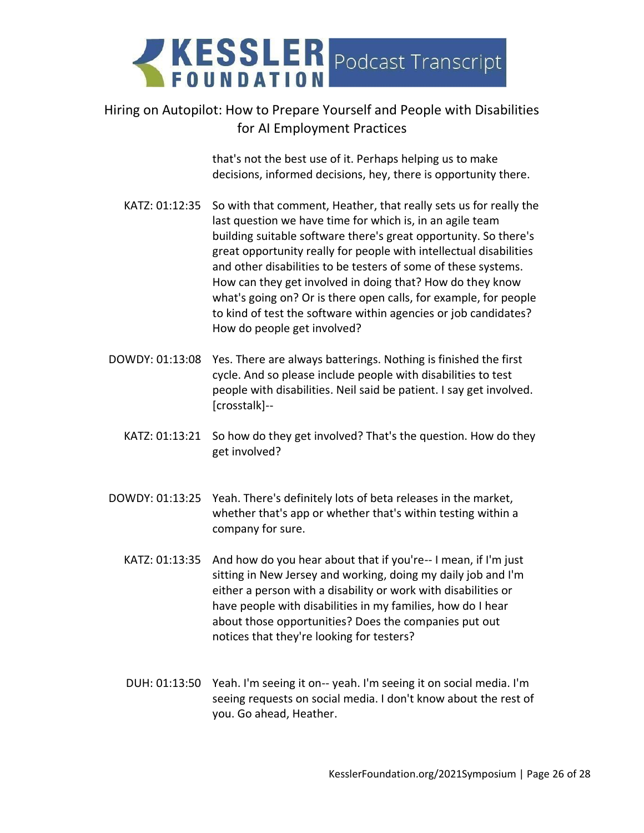### Hiring on Autopilot: How to Prepare Yourself and People with Disabilities for AI Employment Practices

that's not the best use of it. Perhaps helping us to make decisions, informed decisions, hey, there is opportunity there.

- KATZ: 01:12:35 So with that comment, Heather, that really sets us for really the last question we have time for which is, in an agile team building suitable software there's great opportunity. So there's great opportunity really for people with intellectual disabilities and other disabilities to be testers of some of these systems. How can they get involved in doing that? How do they know what's going on? Or is there open calls, for example, for people to kind of test the software within agencies or job candidates? How do people get involved?
- DOWDY: 01:13:08 Yes. There are always batterings. Nothing is finished the first cycle. And so please include people with disabilities to test people with disabilities. Neil said be patient. I say get involved. [crosstalk]--
	- KATZ: 01:13:21 So how do they get involved? That's the question. How do they get involved?
- DOWDY: 01:13:25 Yeah. There's definitely lots of beta releases in the market, whether that's app or whether that's within testing within a company for sure.
	- KATZ: 01:13:35 And how do you hear about that if you're-- I mean, if I'm just sitting in New Jersey and working, doing my daily job and I'm either a person with a disability or work with disabilities or have people with disabilities in my families, how do I hear about those opportunities? Does the companies put out notices that they're looking for testers?
	- DUH: 01:13:50 Yeah. I'm seeing it on-- yeah. I'm seeing it on social media. I'm seeing requests on social media. I don't know about the rest of you. Go ahead, Heather.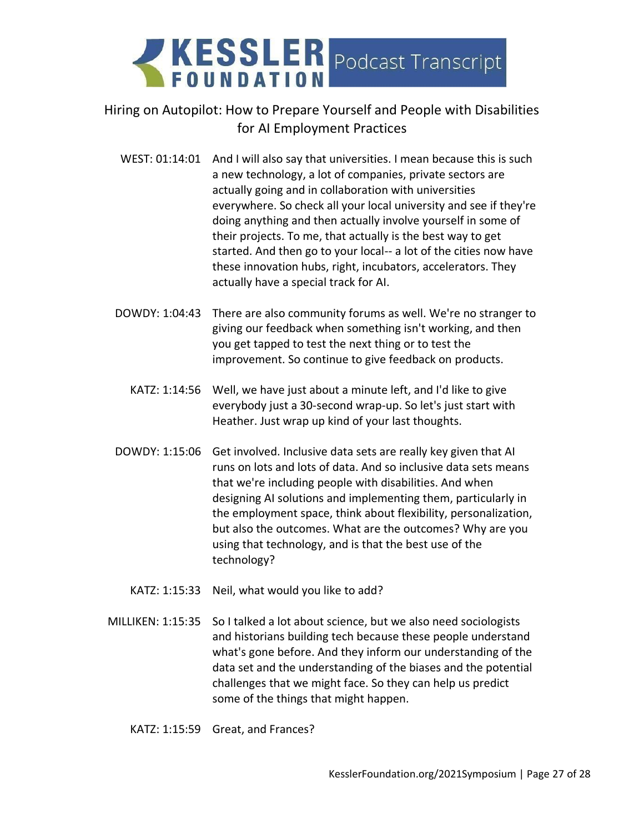### Hiring on Autopilot: How to Prepare Yourself and People with Disabilities for AI Employment Practices

- WEST: 01:14:01 And I will also say that universities. I mean because this is such a new technology, a lot of companies, private sectors are actually going and in collaboration with universities everywhere. So check all your local university and see if they're doing anything and then actually involve yourself in some of their projects. To me, that actually is the best way to get started. And then go to your local-- a lot of the cities now have these innovation hubs, right, incubators, accelerators. They actually have a special track for AI.
- DOWDY: 1:04:43 There are also community forums as well. We're no stranger to giving our feedback when something isn't working, and then you get tapped to test the next thing or to test the improvement. So continue to give feedback on products.
	- KATZ: 1:14:56 Well, we have just about a minute left, and I'd like to give everybody just a 30-second wrap-up. So let's just start with Heather. Just wrap up kind of your last thoughts.
- DOWDY: 1:15:06 Get involved. Inclusive data sets are really key given that AI runs on lots and lots of data. And so inclusive data sets means that we're including people with disabilities. And when designing AI solutions and implementing them, particularly in the employment space, think about flexibility, personalization, but also the outcomes. What are the outcomes? Why are you using that technology, and is that the best use of the technology?
	- KATZ: 1:15:33 Neil, what would you like to add?
- MILLIKEN: 1:15:35 So I talked a lot about science, but we also need sociologists and historians building tech because these people understand what's gone before. And they inform our understanding of the data set and the understanding of the biases and the potential challenges that we might face. So they can help us predict some of the things that might happen.
	- KATZ: 1:15:59 Great, and Frances?